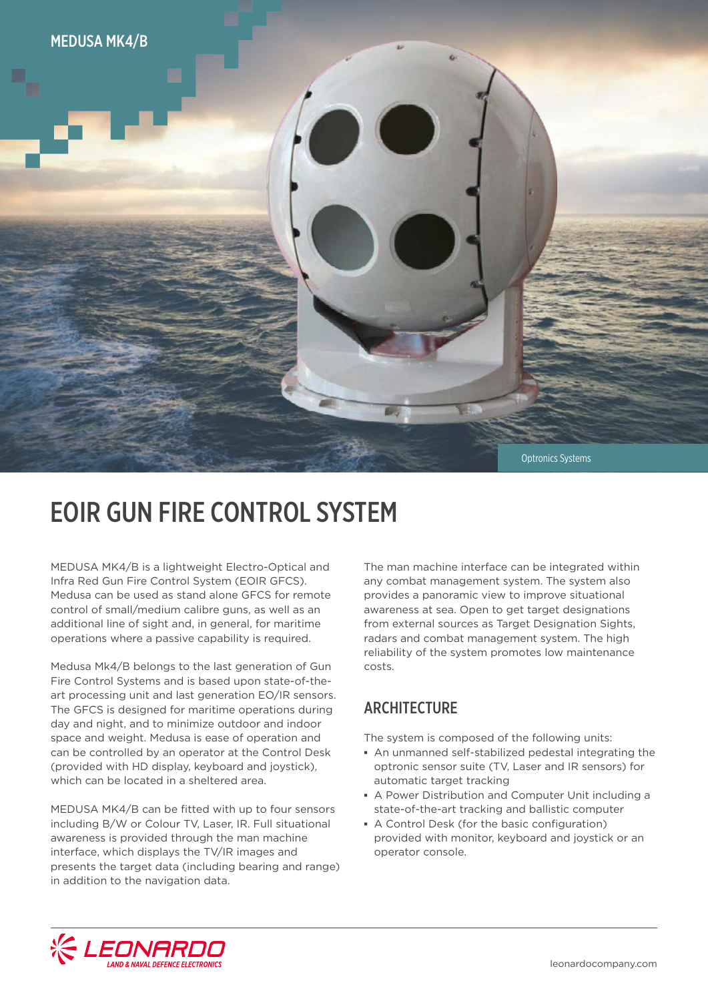

## EOIR GUN FIRE CONTROL SYSTEM

MEDUSA MK4/B is a lightweight Electro-Optical and Infra Red Gun Fire Control System (EOIR GFCS). Medusa can be used as stand alone GFCS for remote control of small/medium calibre guns, as well as an additional line of sight and, in general, for maritime operations where a passive capability is required.

Medusa Mk4/B belongs to the last generation of Gun Fire Control Systems and is based upon state-of-theart processing unit and last generation EO/IR sensors. The GFCS is designed for maritime operations during day and night, and to minimize outdoor and indoor space and weight. Medusa is ease of operation and can be controlled by an operator at the Control Desk (provided with HD display, keyboard and joystick), which can be located in a sheltered area.

MEDUSA MK4/B can be fitted with up to four sensors including B/W or Colour TV, Laser, IR. Full situational awareness is provided through the man machine interface, which displays the TV/IR images and presents the target data (including bearing and range) in addition to the navigation data.

The man machine interface can be integrated within any combat management system. The system also provides a panoramic view to improve situational awareness at sea. Open to get target designations from external sources as Target Designation Sights, radars and combat management system. The high reliability of the system promotes low maintenance costs.

#### **ARCHITECTURE**

The system is composed of the following units:

- **▪** An unmanned self-stabilized pedestal integrating the optronic sensor suite (TV, Laser and IR sensors) for automatic target tracking
- **▪** A Power Distribution and Computer Unit including a state-of-the-art tracking and ballistic computer
- **▪** A Control Desk (for the basic configuration) provided with monitor, keyboard and joystick or an operator console.